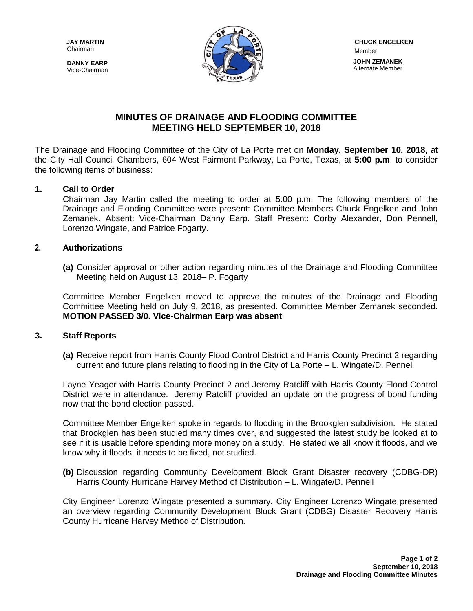Chairman

**DANNY EARP** Vice-Chairman



# **MINUTES OF DRAINAGE AND FLOODING COMMITTEE MEETING HELD SEPTEMBER 10, 2018**

The Drainage and Flooding Committee of the City of La Porte met on **Monday, September 10, 2018,** at the City Hall Council Chambers, 604 West Fairmont Parkway, La Porte, Texas, at **5:00 p.m**. to consider the following items of business:

## **1. Call to Order**

Chairman Jay Martin called the meeting to order at 5:00 p.m. The following members of the Drainage and Flooding Committee were present: Committee Members Chuck Engelken and John Zemanek. Absent: Vice-Chairman Danny Earp. Staff Present: Corby Alexander, Don Pennell, Lorenzo Wingate, and Patrice Fogarty.

### **2. Authorizations**

**(a)** Consider approval or other action regarding minutes of the Drainage and Flooding Committee Meeting held on August 13, 2018– P. Fogarty

Committee Member Engelken moved to approve the minutes of the Drainage and Flooding Committee Meeting held on July 9, 2018, as presented. Committee Member Zemanek seconded. **MOTION PASSED 3/0. Vice-Chairman Earp was absent**

#### **3. Staff Reports**

**(a)** Receive report from Harris County Flood Control District and Harris County Precinct 2 regarding current and future plans relating to flooding in the City of La Porte – L. Wingate/D. Pennell

Layne Yeager with Harris County Precinct 2 and Jeremy Ratcliff with Harris County Flood Control District were in attendance. Jeremy Ratcliff provided an update on the progress of bond funding now that the bond election passed.

Committee Member Engelken spoke in regards to flooding in the Brookglen subdivision. He stated that Brookglen has been studied many times over, and suggested the latest study be looked at to see if it is usable before spending more money on a study. He stated we all know it floods, and we know why it floods; it needs to be fixed, not studied.

**(b)** Discussion regarding Community Development Block Grant Disaster recovery (CDBG-DR) Harris County Hurricane Harvey Method of Distribution – L. Wingate/D. Pennell

City Engineer Lorenzo Wingate presented a summary. City Engineer Lorenzo Wingate presented an overview regarding Community Development Block Grant (CDBG) Disaster Recovery Harris County Hurricane Harvey Method of Distribution.